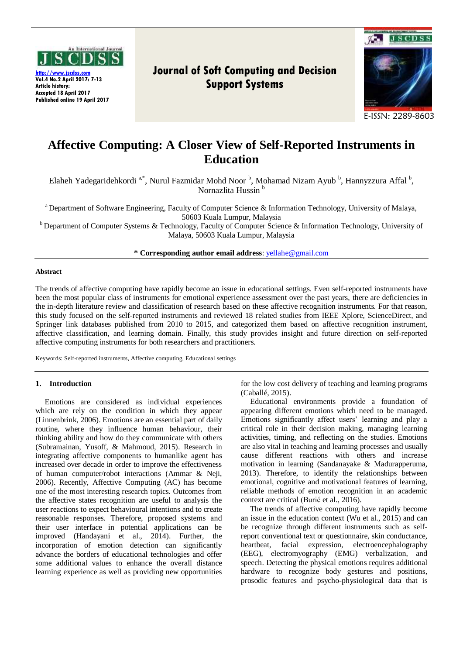

**[http://www.jscdss.com](http://www.jscdss.com/) Vol.4 No.2 April 2017: 7-13 Article history: Accepted 18 April 2017 Published online 19 April 2017**

# **Journal of Soft Computing and Decision Support Systems**



## **Affective Computing: A Closer View of Self-Reported Instruments in Education**

Elaheh Yadegaridehkordi<sup>a,\*</sup>, Nurul Fazmidar Mohd Noor <sup>b</sup>, Mohamad Nizam Ayub <sup>b</sup>, Hannyzzura Affal <sup>b</sup>, Nornazlita Hussin<sup>b</sup>

<sup>a</sup> Department of Software Engineering, Faculty of Computer Science & Information Technology, University of Malaya, 50603 Kuala Lumpur, Malaysia

 $b$  Department of Computer Systems & Technology, Faculty of Computer Science & Information Technology, University of Malaya, 50603 Kuala Lumpur, Malaysia

**\* Corresponding author email address**: [yellahe@gmail.com](mailto:yellahe@gmail.com)

#### **Abstract**

The trends of affective computing have rapidly become an issue in educational settings. Even self-reported instruments have been the most popular class of instruments for emotional experience assessment over the past years, there are deficiencies in the in-depth literature review and classification of research based on these affective recognition instruments. For that reason, this study focused on the self-reported instruments and reviewed 18 related studies from IEEE Xplore, ScienceDirect, and Springer link databases published from 2010 to 2015, and categorized them based on affective recognition instrument, affective classification, and learning domain. Finally, this study provides insight and future direction on self-reported affective computing instruments for both researchers and practitioners.

Keywords: Self-reported instruments, Affective computing, Educational settings

## **1. Introduction**

Emotions are considered as individual experiences which are rely on the condition in which they appear (Linnenbrink, 2006). Emotions are an essential part of daily routine, where they influence human behaviour, their thinking ability and how do they communicate with others (Subramainan, Yusoff, & Mahmoud, 2015). Research in integrating affective components to humanlike agent has increased over decade in order to improve the effectiveness of human computer/robot interactions (Ammar & Neji, 2006). Recently, Affective Computing (AC) has become one of the most interesting research topics. Outcomes from the affective states recognition are useful to analysis the user reactions to expect behavioural intentions and to create reasonable responses. Therefore, proposed systems and their user interface in potential applications can be improved (Handayani et al., 2014). Further, the incorporation of emotion detection can significantly advance the borders of educational technologies and offer some additional values to enhance the overall distance learning experience as well as providing new opportunities

for the low cost delivery of teaching and learning programs (Caballé, 2015).

Educational environments provide a foundation of appearing different emotions which need to be managed. Emotions significantly affect users' learning and play a critical role in their decision making, managing learning activities, timing, and reflecting on the studies. Emotions are also vital in teaching and learning processes and usually cause different reactions with others and increase motivation in learning (Sandanayake & Madurapperuma, 2013). Therefore, to identify the relationships between emotional, cognitive and motivational features of learning, reliable methods of emotion recognition in an academic context are critical (Burić et al., 2016).

The trends of affective computing have rapidly become an issue in the education context (Wu et al., 2015) and can be recognize through different instruments such as selfreport conventional text or questionnaire, skin conductance, heartbeat, facial expression, electroencephalography (EEG), electromyography (EMG) verbalization, and speech. Detecting the physical emotions requires additional hardware to recognize body gestures and positions, prosodic features and psycho-physiological data that is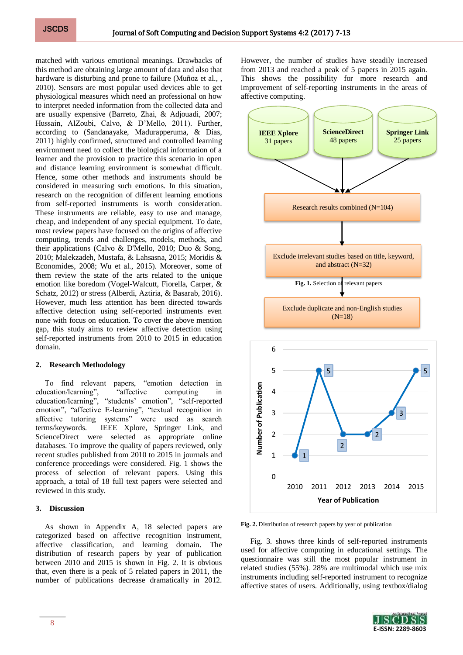matched with various emotional meanings. Drawbacks of this method are obtaining large amount of data and also that hardware is disturbing and prone to failure (Muñoz et al., , 2010). Sensors are most popular used devices able to get physiological measures which need an professional on how to interpret needed information from the collected data and are usually expensive (Barreto, Zhai, & Adjouadi, 2007; Hussain, AlZoubi, Calvo, & D'Mello, 2011). Further, according to (Sandanayake, Madurapperuma, & Dias, 2011) highly confirmed, structured and controlled learning environment need to collect the biological information of a learner and the provision to practice this scenario in open and distance learning environment is somewhat difficult. Hence, some other methods and instruments should be considered in measuring such emotions. In this situation, research on the recognition of different learning emotions from self-reported instruments is worth consideration. These instruments are reliable, easy to use and manage, cheap, and independent of any special equipment. To date, most review papers have focused on the origins of affective computing, trends and challenges, models, methods, and their applications (Calvo & D'Mello, 2010; Duo & Song, 2010; Malekzadeh, Mustafa, & Lahsasna, 2015; Moridis & Economides, 2008; Wu et al., 2015). Moreover, some of them review the state of the arts related to the unique emotion like boredom (Vogel-Walcutt, Fiorella, Carper, & Schatz, 2012) or stress (Alberdi, Aztiria, & Basarab, 2016). However, much less attention has been directed towards affective detection using self-reported instruments even none with focus on education. To cover the above mention gap, this study aims to review affective detection using self-reported instruments from 2010 to 2015 in education domain.

## **2. Research Methodology**

To find relevant papers, "emotion detection in education/learning", "affective computing in education/learning", "students' emotion", "self-reported emotion", "affective E-learning", "textual recognition in affective tutoring systems" were used as search terms/keywords. IEEE Xplore, Springer Link, and ScienceDirect were selected as appropriate online databases. To improve the quality of papers reviewed, only recent studies published from 2010 to 2015 in journals and conference proceedings were considered. Fig. 1 shows the process of selection of relevant papers. Using this approach, a total of 18 full text papers were selected and reviewed in this study.

## **3. Discussion**

As shown in Appendix A, 18 selected papers are categorized based on affective recognition instrument, affective classification, and learning domain. The distribution of research papers by year of publication between 2010 and 2015 is shown in Fig. 2. It is obvious that, even there is a peak of 5 related papers in 2011, the number of publications decrease dramatically in 2012.

However, the number of studies have steadily increased from 2013 and reached a peak of 5 papers in 2015 again. This shows the possibility for more research and improvement of self-reporting instruments in the areas of affective computing.



**Fig. 2.** Distribution of research papers by year of publication

Fig. 3. shows three kinds of self-reported instruments used for affective computing in educational settings. The questionnaire was still the most popular instrument in related studies (55%). 28% are multimodal which use mix instruments including self-reported instrument to recognize affective states of users. Additionally, using textbox/dialog

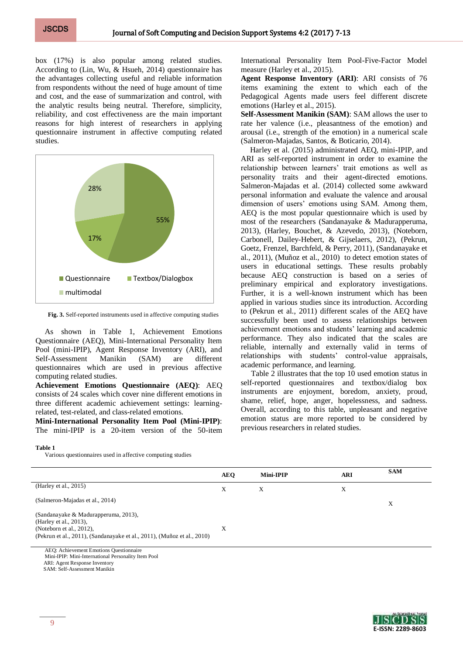box (17%) is also popular among related studies. According to (Lin, Wu, & Hsueh, 2014) questionnaire has the advantages collecting useful and reliable information from respondents without the need of huge amount of time and cost, and the ease of summarization and control, with the analytic results being neutral. Therefore, simplicity, reliability, and cost effectiveness are the main important reasons for high interest of researchers in applying questionnaire instrument in affective computing related studies.



**Fig. 3.** Self-reported instruments used in affective computing studies

As shown in Table 1, Achievement Emotions Questionnaire (AEQ), Mini-International Personality Item Pool (mini-IPIP), Agent Response Inventory (ARI), and Self-Assessment Manikin (SAM) are different questionnaires which are used in previous affective computing related studies.

**Achievement Emotions Questionnaire (AEQ)**: AEQ consists of 24 scales which cover nine different emotions in three different academic achievement settings: learningrelated, test-related, and class-related emotions.

**Mini-International Personality Item Pool (Mini-IPIP)**: The mini-IPIP is a 20-item version of the 50-item International Personality Item Pool-Five-Factor Model measure (Harley et al., 2015).

**Agent Response Inventory (ARI)**: ARI consists of 76 items examining the extent to which each of the Pedagogical Agents made users feel different discrete emotions (Harley et al., 2015).

**Self-Assessment Manikin (SAM)**: SAM allows the user to rate her valence (i.e., pleasantness of the emotion) and arousal (i.e., strength of the emotion) in a numerical scale (Salmeron-Majadas, Santos, & Boticario, 2014).

Harley et al. (2015) administrated AEQ, mini-IPIP, and ARI as self-reported instrument in order to examine the relationship between learners' trait emotions as well as personality traits and their agent-directed emotions. Salmeron-Majadas et al. (2014) collected some awkward personal information and evaluate the valence and arousal dimension of users' emotions using SAM. Among them, AEQ is the most popular questionnaire which is used by most of the researchers (Sandanayake & Madurapperuma, 2013), (Harley, Bouchet, & Azevedo, 2013), (Noteborn, Carbonell, Dailey-Hebert, & Gijselaers, 2012), (Pekrun, Goetz, Frenzel, Barchfeld, & Perry, 2011), (Sandanayake et al., 2011), (Muñoz et al., 2010) to detect emotion states of users in educational settings. These results probably because AEQ construction is based on a series of preliminary empirical and exploratory investigations. Further, it is a well-known instrument which has been applied in various studies since its introduction. According to (Pekrun et al., 2011) different scales of the AEQ have successfully been used to assess relationships between achievement emotions and students' learning and academic performance. They also indicated that the scales are reliable, internally and externally valid in terms of relationships with students' control-value appraisals, academic performance, and learning.

Table 2 illustrates that the top 10 used emotion status in self-reported questionnaires and textbox/dialog box instruments are enjoyment, boredom, anxiety, proud, shame, relief, hope, anger, hopelessness, and sadness. Overall, according to this table, unpleasant and negative emotion status are more reported to be considered by previous researchers in related studies.

**Table 1**

Various questionnaires used in affective computing studies

|                                                                                                                                                                          | <b>AEQ</b> | Mini-IPIP | <b>ARI</b> | <b>SAM</b> |
|--------------------------------------------------------------------------------------------------------------------------------------------------------------------------|------------|-----------|------------|------------|
| (Harley et al., 2015)                                                                                                                                                    | X          | Х         | X          |            |
| (Salmeron-Majadas et al., 2014)                                                                                                                                          |            |           |            | Х          |
| (Sandanayake & Madurapperuma, 2013),<br>(Harley et al., 2013),<br>(Noteborn et al., $2012$ ),<br>(Pekrun et al., 2011), (Sandanayake et al., 2011), (Muñoz et al., 2010) | X          |           |            |            |

AEQ: Achievement Emotions Questionnaire Mini-IPIP: Mini-International Personality Item Pool ARI: Agent Response Inventory

SAM: Self-Assessment Manikin

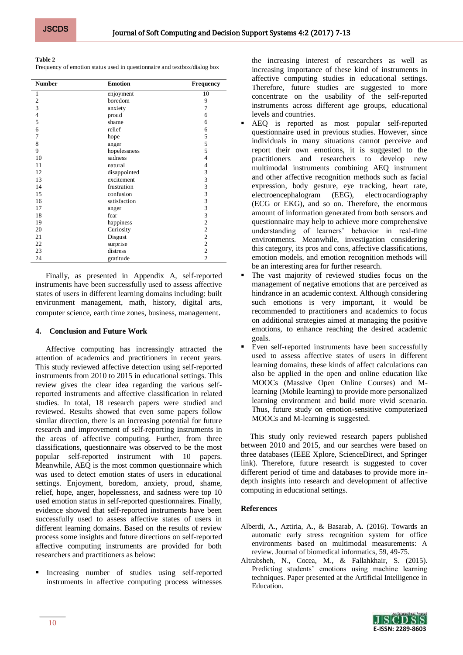## **Table 2**

Frequency of emotion status used in questionnaire and textbox/dialog box

| <b>Number</b>  | <b>Emotion</b> | <b>Frequency</b>        |
|----------------|----------------|-------------------------|
| 1              | enjoyment      | 10                      |
| $\overline{2}$ | boredom        | 9                       |
| $\overline{3}$ | anxiety        | 7                       |
| $\overline{4}$ | proud          | 6                       |
| 5              | shame          | 6                       |
| 6              | relief         | 6                       |
| 7              | hope           | 5                       |
| 8              | anger          | 5                       |
| 9              | hopelessness   | 5                       |
| 10             | sadness        | 4                       |
| 11             | natural        | 4                       |
| 12             | disappointed   | 3                       |
| 13             | excitement     | 3                       |
| 14             | frustration    | 3                       |
| 15             | confusion      | 3                       |
| 16             | satisfaction   |                         |
| 17             | anger          | $\frac{3}{3}$           |
| 18             | fear           | $\overline{\mathbf{3}}$ |
| 19             | happiness      | $\overline{c}$          |
| 20             | Curiosity      | $\overline{c}$          |
| 21             | Disgust        | $\overline{c}$          |
| 22             | surprise       | $\overline{c}$          |
| 23             | distress       | $\overline{2}$          |
| 24             | gratitude      | $\overline{2}$          |

Finally, as presented in Appendix A, self-reported instruments have been successfully used to assess affective states of users in different learning domains including: built environment management, math, history, digital arts, computer science, earth time zones, business, management.

## **4. Conclusion and Future Work**

Affective computing has increasingly attracted the attention of academics and practitioners in recent years. This study reviewed affective detection using self-reported instruments from 2010 to 2015 in educational settings. This review gives the clear idea regarding the various selfreported instruments and affective classification in related studies. In total, 18 research papers were studied and reviewed. Results showed that even some papers follow similar direction, there is an increasing potential for future research and improvement of self-reporting instruments in the areas of affective computing. Further, from three classifications, questionnaire was observed to be the most popular self-reported instrument with 10 papers. Meanwhile, AEQ is the most common questionnaire which was used to detect emotion states of users in educational settings. Enjoyment, boredom, anxiety, proud, shame, relief, hope, anger, hopelessness, and sadness were top 10 used emotion status in self-reported questionnaires. Finally, evidence showed that self-reported instruments have been successfully used to assess affective states of users in different learning domains. Based on the results of review process some insights and future directions on self-reported affective computing instruments are provided for both researchers and practitioners as below:

 Increasing number of studies using self-reported instruments in affective computing process witnesses

the increasing interest of researchers as well as increasing importance of these kind of instruments in affective computing studies in educational settings. Therefore, future studies are suggested to more concentrate on the usability of the self-reported instruments across different age groups, educational levels and countries.

- AEQ is reported as most popular self-reported questionnaire used in previous studies. However, since individuals in many situations cannot perceive and report their own emotions, it is suggested to the practitioners and researchers to develop new multimodal instruments combining AEQ instrument and other affective recognition methods such as facial expression, body gesture, eye tracking, heart rate, electroencephalogram (EEG), electrocardiography (ECG or EKG), and so on. Therefore, the enormous amount of information generated from both sensors and questionnaire may help to achieve more comprehensive understanding of learners' behavior in real-time environments. Meanwhile, investigation considering this category, its pros and cons, affective classifications, emotion models, and emotion recognition methods will be an interesting area for further research.
- The vast majority of reviewed studies focus on the management of negative emotions that are perceived as hindrance in an academic context. Although considering such emotions is very important, it would be recommended to practitioners and academics to focus on additional strategies aimed at managing the positive emotions, to enhance reaching the desired academic goals.
- Even self-reported instruments have been successfully used to assess affective states of users in different learning domains, these kinds of affect calculations can also be applied in the open and online education like MOOCs (Massive Open Online Courses) and Mlearning (Mobile learning) to provide more personalized learning environment and build more vivid scenario. Thus, future study on emotion-sensitive computerized MOOCs and M-learning is suggested.

This study only reviewed research papers published between 2010 and 2015, and our searches were based on three databases (IEEE Xplore, ScienceDirect, and Springer link). Therefore, future research is suggested to cover different period of time and databases to provide more indepth insights into research and development of affective computing in educational settings.

## **References**

- Alberdi, A., Aztiria, A., & Basarab, A. (2016). Towards an automatic early stress recognition system for office environments based on multimodal measurements: A review. Journal of biomedical informatics, 59, 49-75.
- Altrabsheh, N., Cocea, M., & Fallahkhair, S. (2015). Predicting students' emotions using machine learning techniques. Paper presented at the Artificial Intelligence in Education.

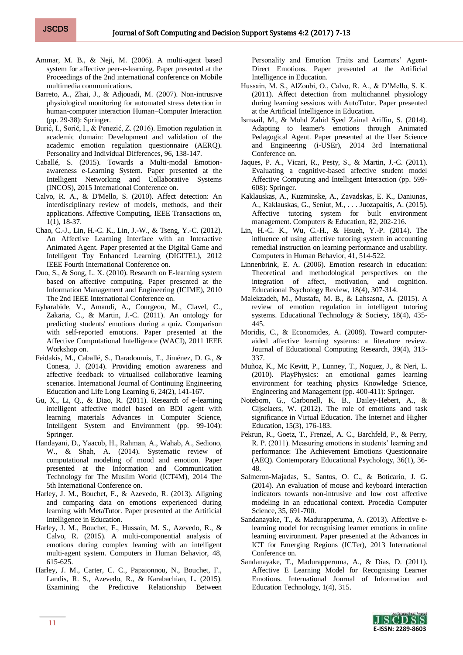- Ammar, M. B., & Neji, M. (2006). A multi-agent based system for affective peer-e-learning. Paper presented at the Proceedings of the 2nd international conference on Mobile multimedia communications.
- Barreto, A., Zhai, J., & Adjouadi, M. (2007). Non-intrusive physiological monitoring for automated stress detection in human-computer interaction Human–Computer Interaction (pp. 29-38): Springer.
- Burić, I., Sorić, I., & Penezić, Z. (2016). Emotion regulation in academic domain: Development and validation of the academic emotion regulation questionnaire (AERQ). Personality and Individual Differences, 96, 138-147.
- Caballé, S. (2015). Towards a Multi-modal Emotionawareness e-Learning System. Paper presented at the Intelligent Networking and Collaborative Systems (INCOS), 2015 International Conference on.
- Calvo, R. A., & D'Mello, S. (2010). Affect detection: An interdisciplinary review of models, methods, and their applications. Affective Computing, IEEE Transactions on, 1(1), 18-37.
- Chao, C.-J., Lin, H.-C. K., Lin, J.-W., & Tseng, Y.-C. (2012). An Affective Learning Interface with an Interactive Animated Agent. Paper presented at the Digital Game and Intelligent Toy Enhanced Learning (DIGITEL), 2012 IEEE Fourth International Conference on.
- Duo, S., & Song, L. X. (2010). Research on E-learning system based on affective computing. Paper presented at the Information Management and Engineering (ICIME), 2010 The 2nd IEEE International Conference on.
- Eyharabide, V., Amandi, A., Courgeon, M., Clavel, C., Zakaria, C., & Martin, J.-C. (2011). An ontology for predicting students' emotions during a quiz. Comparison with self-reported emotions. Paper presented at the Affective Computational Intelligence (WACI), 2011 IEEE Workshop on.
- Feidakis, M., Caballé, S., Daradoumis, T., Jiménez, D. G., & Conesa, J. (2014). Providing emotion awareness and affective feedback to virtualised collaborative learning scenarios. International Journal of Continuing Engineering Education and Life Long Learning 6, 24(2), 141-167.
- Gu, X., Li, Q., & Diao, R. (2011). Research of e-learning intelligent affective model based on BDI agent with learning materials Advances in Computer Science, Intelligent System and Environment (pp. 99-104): Springer.
- Handayani, D., Yaacob, H., Rahman, A., Wahab, A., Sediono, W., & Shah, A. (2014). Systematic review of computational modeling of mood and emotion. Paper presented at the Information and Communication Technology for The Muslim World (ICT4M), 2014 The 5th International Conference on.
- Harley, J. M., Bouchet, F., & Azevedo, R. (2013). Aligning and comparing data on emotions experienced during learning with MetaTutor. Paper presented at the Artificial Intelligence in Education.
- Harley, J. M., Bouchet, F., Hussain, M. S., Azevedo, R., & Calvo, R. (2015). A multi-componential analysis of emotions during complex learning with an intelligent multi-agent system. Computers in Human Behavior, 48, 615-625.
- Harley, J. M., Carter, C. C., Papaionnou, N., Bouchet, F., Landis, R. S., Azevedo, R., & Karabachian, L. (2015). Examining the Predictive Relationship Between

Personality and Emotion Traits and Learners' Agent-Direct Emotions. Paper presented at the Artificial Intelligence in Education.

- Hussain, M. S., AlZoubi, O., Calvo, R. A., & D'Mello, S. K. (2011). Affect detection from multichannel physiology during learning sessions with AutoTutor. Paper presented at the Artificial Intelligence in Education.
- Ismaail, M., & Mohd Zahid Syed Zainal Ariffin, S. (2014). Adapting to leamer's emotions through Animated Pedagogical Agent. Paper presented at the User Science and Engineering (i-USEr), 2014 3rd International Conference on.
- Jaques, P. A., Vicari, R., Pesty, S., & Martin, J.-C. (2011). Evaluating a cognitive-based affective student model Affective Computing and Intelligent Interaction (pp. 599- 608): Springer.
- Kaklauskas, A., Kuzminske, A., Zavadskas, E. K., Daniunas, A., Kaklauskas, G., Seniut, M., . . . Juozapaitis, A. (2015). Affective tutoring system for built environment management. Computers & Education, 82, 202-216.
- Lin, H.-C. K., Wu, C.-H., & Hsueh, Y.-P. (2014). The influence of using affective tutoring system in accounting remedial instruction on learning performance and usability. Computers in Human Behavior, 41, 514-522.
- Linnenbrink, E. A. (2006). Emotion research in education: Theoretical and methodological perspectives on the integration of affect, motivation, and cognition. Educational Psychology Review, 18(4), 307-314.
- Malekzadeh, M., Mustafa, M. B., & Lahsasna, A. (2015). A review of emotion regulation in intelligent tutoring systems. Educational Technology & Society, 18(4), 435- 445.
- Moridis, C., & Economides, A. (2008). Toward computeraided affective learning systems: a literature review. Journal of Educational Computing Research, 39(4), 313- 337.
- Muñoz, K., Mc Kevitt, P., Lunney, T., Noguez, J., & Neri, L. (2010). PlayPhysics: an emotional games learning environment for teaching physics Knowledge Science, Engineering and Management (pp. 400-411): Springer.
- Noteborn, G., Carbonell, K. B., Dailey-Hebert, A., & Gijselaers, W. (2012). The role of emotions and task significance in Virtual Education. The Internet and Higher Education, 15(3), 176-183.
- Pekrun, R., Goetz, T., Frenzel, A. C., Barchfeld, P., & Perry, R. P. (2011). Measuring emotions in students' learning and performance: The Achievement Emotions Questionnaire (AEQ). Contemporary Educational Psychology, 36(1), 36- 48.
- Salmeron-Majadas, S., Santos, O. C., & Boticario, J. G. (2014). An evaluation of mouse and keyboard interaction indicators towards non-intrusive and low cost affective modeling in an educational context. Procedia Computer Science, 35, 691-700.
- Sandanayake, T., & Madurapperuma, A. (2013). Affective elearning model for recognising learner emotions in online learning environment. Paper presented at the Advances in ICT for Emerging Regions (ICTer), 2013 International Conference on.
- Sandanayake, T., Madurapperuma, A., & Dias, D. (2011). Affective E Learning Model for Recognising Learner Emotions. International Journal of Information and Education Technology, 1(4), 315.

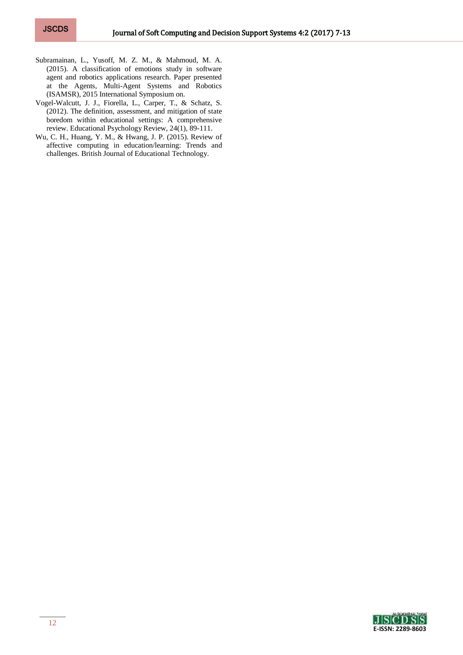- Subramainan, L., Yusoff, M. Z. M., & Mahmoud, M. A. (2015). A classification of emotions study in software agent and robotics applications research. Paper presented at the Agents, Multi-Agent Systems and Robotics (ISAMSR), 2015 International Symposium on.
- Vogel-Walcutt, J. J., Fiorella, L., Carper, T., & Schatz, S. (2012). The definition, assessment, and mitigation of state boredom within educational settings: A comprehensive review. Educational Psychology Review, 24(1), 89-111.
- Wu, C. H., Huang, Y. M., & Hwang, J. P. (2015). Review of affective computing in education/learning: Trends and challenges. British Journal of Educational Technology.